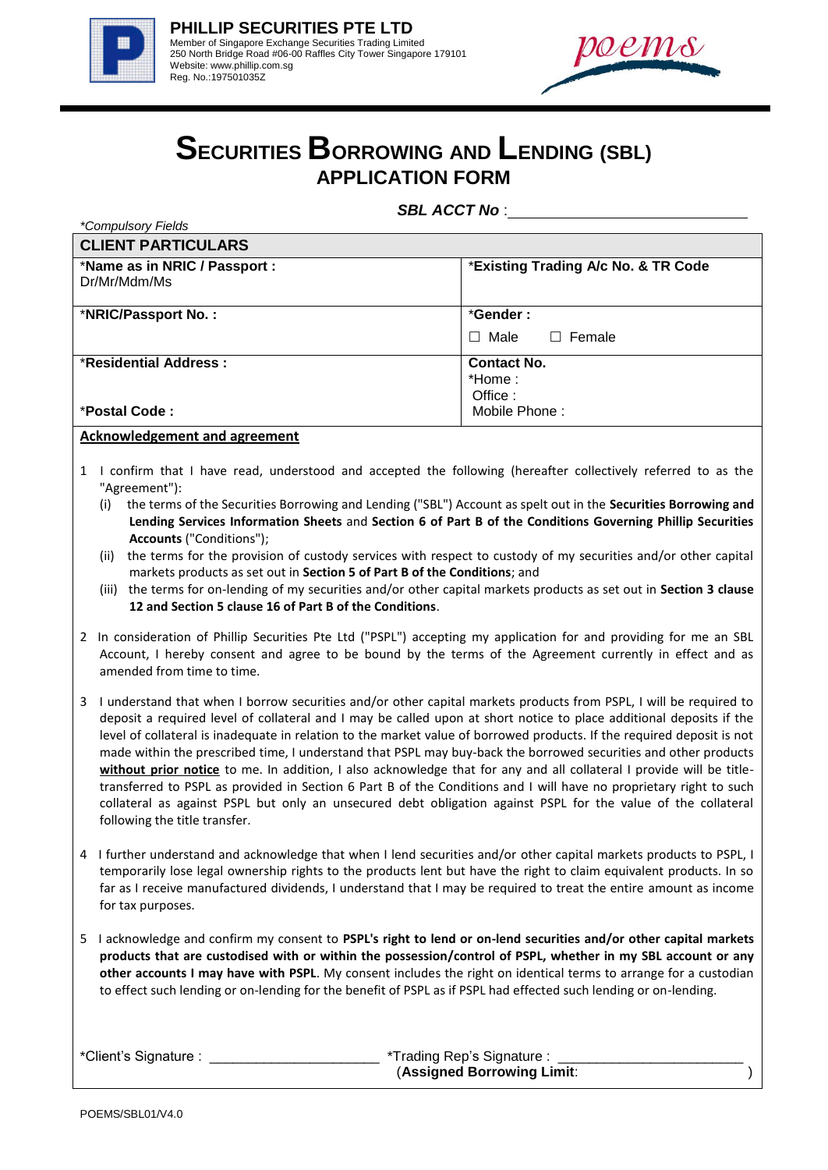

*\*Compulsory Fields*



## **SECURITIES BORROWING AND LENDING (SBL) APPLICATION FORM**

*SBL ACCT No* :

| <b>CLIENT PARTICULARS</b>                     |                                          |  |
|-----------------------------------------------|------------------------------------------|--|
| *Name as in NRIC / Passport :<br>Dr/Mr/Mdm/Ms | *Existing Trading A/c No. & TR Code      |  |
| *NRIC/Passport No.:                           | *Gender:<br>$\Box$ Male<br>$\Box$ Female |  |
| *Residential Address:                         | <b>Contact No.</b><br>*Home :<br>Office: |  |
| *Postal Code:                                 | Mobile Phone:                            |  |

**Acknowledgement and agreement**

- 1 I confirm that I have read, understood and accepted the following (hereafter collectively referred to as the "Agreement"):
	- (i) the terms of the Securities Borrowing and Lending ("SBL") Account as spelt out in the **Securities Borrowing and Lending Services Information Sheets** and **Section 6 of Part B of the Conditions Governing Phillip Securities Accounts** ("Conditions");
	- (ii) the terms for the provision of custody services with respect to custody of my securities and/or other capital markets products as set out in **Section 5 of Part B of the Conditions**; and
	- (iii) the terms for on-lending of my securities and/or other capital markets products as set out in **Section 3 clause 12 and Section 5 clause 16 of Part B of the Conditions**.
- 2 In consideration of Phillip Securities Pte Ltd ("PSPL") accepting my application for and providing for me an SBL Account, I hereby consent and agree to be bound by the terms of the Agreement currently in effect and as amended from time to time.
- 3 I understand that when I borrow securities and/or other capital markets products from PSPL, I will be required to deposit a required level of collateral and I may be called upon at short notice to place additional deposits if the level of collateral is inadequate in relation to the market value of borrowed products. If the required deposit is not made within the prescribed time, I understand that PSPL may buy-back the borrowed securities and other products **without prior notice** to me. In addition, I also acknowledge that for any and all collateral I provide will be titletransferred to PSPL as provided in Section 6 Part B of the Conditions and I will have no proprietary right to such collateral as against PSPL but only an unsecured debt obligation against PSPL for the value of the collateral following the title transfer.
- 4 I further understand and acknowledge that when I lend securities and/or other capital markets products to PSPL, I temporarily lose legal ownership rights to the products lent but have the right to claim equivalent products. In so far as I receive manufactured dividends, I understand that I may be required to treat the entire amount as income for tax purposes.
- 5 I acknowledge and confirm my consent to **PSPL's right to lend or on-lend securities and/or other capital markets products that are custodised with or within the possession/control of PSPL, whether in my SBL account or any other accounts I may have with PSPL**. My consent includes the right on identical terms to arrange for a custodian to effect such lending or on-lending for the benefit of PSPL as if PSPL had effected such lending or on-lending.

| *Client's Signature : | *Trading Rep's Signature : |
|-----------------------|----------------------------|
|                       | (Assigned Borrowing Limit: |